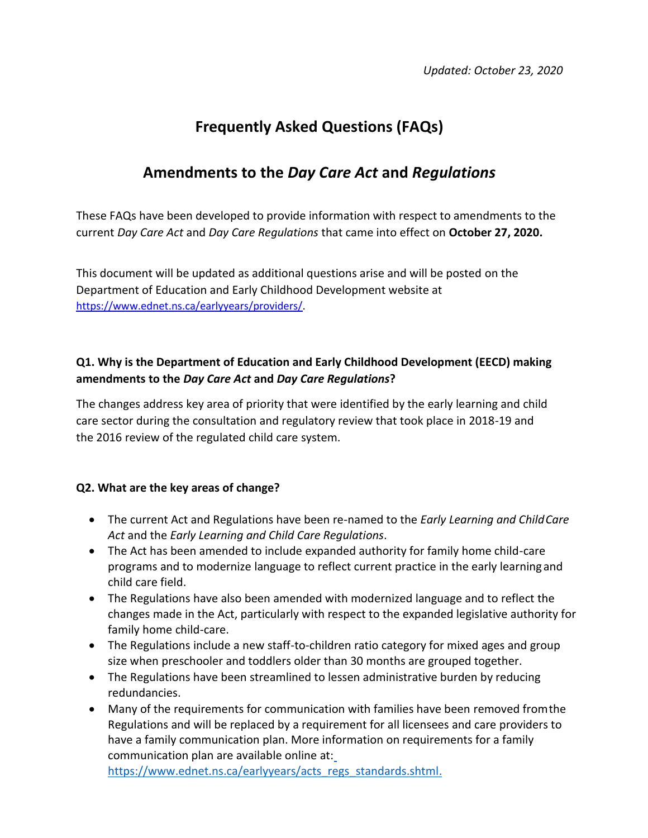# **Frequently Asked Questions (FAQs)**

## **Amendments to the** *Day Care Act* **and** *Regulations*

These FAQs have been developed to provide information with respect to amendments to the current *Day Care Act* and *Day Care Regulations* that came into effect on **October 27, 2020.**

This document will be updated as additional questions arise and will be posted on the Department of Education and Early Childhood Development website at [https://www.ednet.ns.ca/earlyyears/providers/.](https://www.ednet.ns.ca/earlyyears/providers/)

## **Q1. Why is the Department of Education and Early Childhood Development (EECD) making amendments to the** *Day Care Act* **and** *Day Care Regulations***?**

The changes address key area of priority that were identified by the early learning and child care sector during the consultation and regulatory review that took place in 2018-19 and the 2016 review of the regulated child care system.

#### **Q2. What are the key areas of change?**

- The current Act and Regulations have been re-named to the *Early Learning and ChildCare Act* and the *Early Learning and Child Care Regulations*.
- The Act has been amended to include expanded authority for family home child-care programs and to modernize language to reflect current practice in the early learning and child care field.
- The Regulations have also been amended with modernized language and to reflect the changes made in the Act, particularly with respect to the expanded legislative authority for family home child-care.
- The Regulations include a new staff-to-children ratio category for mixed ages and group size when preschooler and toddlers older than 30 months are grouped together.
- The Regulations have been streamlined to lessen administrative burden by reducing redundancies.
- Many of the requirements for communication with families have been removed fromthe Regulations and will be replaced by a requirement for all licensees and care providers to have a family communication plan. More i[nformation on requirements for a family](https://www.ednet.ns.ca/earlyyears/acts_regs_standards.shtml)  communication plan are available online at: [https://www.ednet.ns.ca/earlyyears/acts\\_regs\\_standards.shtml.](https://www.ednet.ns.ca/earlyyears/acts_regs_standards.shtml)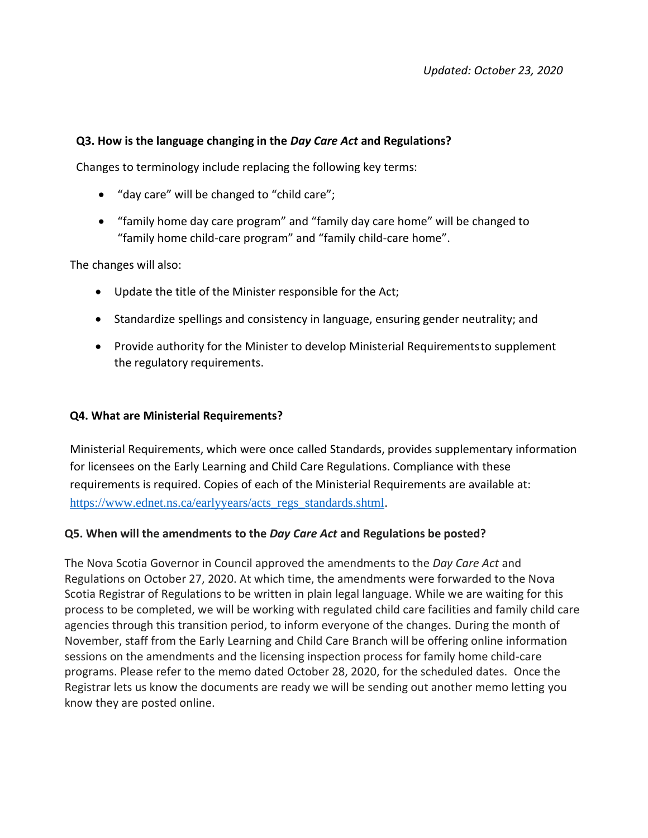#### **Q3. How is the language changing in the** *Day Care Act* **and Regulations?**

Changes to terminology include replacing the following key terms:

- "day care" will be changed to "child care";
- "family home day care program" and "family day care home" will be changed to "family home child-care program" and "family child-care home".

The changes will also:

- Update the title of the Minister responsible for the Act;
- Standardize spellings and consistency in language, ensuring gender neutrality; and
- Provide authority for the Minister to develop Ministerial Requirementsto supplement the regulatory requirements.

#### **Q4. What are Ministerial Requirements?**

Ministerial Requirements, which were once called Standards, provides supplementary information for licensees on the Early Learning and Child Care Regulations. Compliance with these requirements is required. Copies of each of the Ministerial Requirements are available at: [https://www.ednet.ns.ca/earlyyears/acts\\_regs\\_standards.shtml](https://www.ednet.ns.ca/earlyyears/acts_regs_standards.shtml).

#### **Q5. When will the amendments to the** *Day Care Act* **and Regulations be posted?**

The Nova Scotia Governor in Council approved the amendments to the *Day Care Act* and Regulations on October 27, 2020. At which time, the amendments were forwarded to the Nova Scotia Registrar of Regulations to be written in plain legal language. While we are waiting for this process to be completed, we will be working with regulated child care facilities and family child care agencies through this transition period, to inform everyone of the changes. During the month of November, staff from the Early Learning and Child Care Branch will be offering online information sessions on the amendments and the licensing inspection process for family home child-care programs. Please refer to the memo dated October 28, 2020, for the scheduled dates. Once the Registrar lets us know the documents are ready we will be sending out another memo letting you know they are posted online.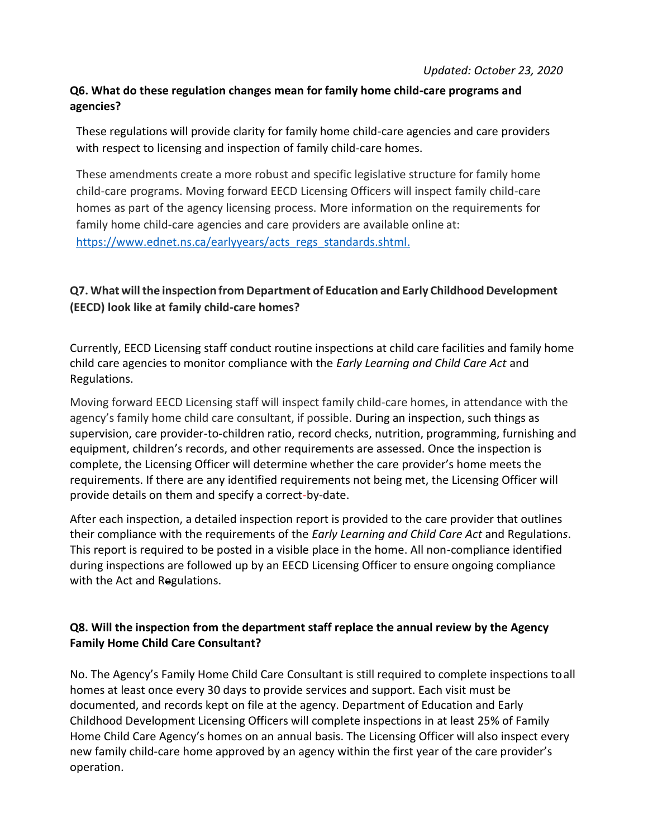#### **Q6. What do these regulation changes mean for family home child-care programs and agencies?**

These regulations will provide clarity for family home child-care agencies and care providers with respect to licensing and inspection of family child-care homes.

These amendments create a more robust and specific legislative structure for family home child-care programs. Moving forward EECD Licensing Officers will inspect family child-care homes as part of the agency licensing process. More information on the requirements for family home child-care agencies and care providers are available online at: [https://www.ednet.ns.ca/earlyyears/acts\\_regs\\_standards.shtml.](https://www.ednet.ns.ca/earlyyears/acts_regs_standards.shtml)

## **Q7. What willthe inspection from Department of Education and Early ChildhoodDevelopment (EECD) look like at family child-care homes?**

Currently, EECD Licensing staff conduct routine inspections at child care facilities and family home child care agencies to monitor compliance with the *Early Learning and Child Care Act* and Regulations.

Moving forward EECD Licensing staff will inspect family child-care homes, in attendance with the agency's family home child care consultant, if possible. During an inspection, such things as supervision, care provider-to-children ratio, record checks, nutrition, programming, furnishing and equipment, children's records, and other requirements are assessed. Once the inspection is complete, the Licensing Officer will determine whether the care provider's home meets the requirements. If there are any identified requirements not being met, the Licensing Officer will provide details on them and specify a correct-by-date.

After each inspection, a detailed inspection report is provided to the care provider that outlines their compliance with the requirements of the *Early Learning and Child Care Act* and Regulation*s*. This report is required to be posted in a visible place in the home. All non-compliance identified during inspections are followed up by an EECD Licensing Officer to ensure ongoing compliance with the Act and Regulations.

#### **Q8. Will the inspection from the department staff replace the annual review by the Agency Family Home Child Care Consultant?**

No. The Agency's Family Home Child Care Consultant is still required to complete inspections toall homes at least once every 30 days to provide services and support. Each visit must be documented, and records kept on file at the agency. Department of Education and Early Childhood Development Licensing Officers will complete inspections in at least 25% of Family Home Child Care Agency's homes on an annual basis. The Licensing Officer will also inspect every new family child-care home approved by an agency within the first year of the care provider's operation.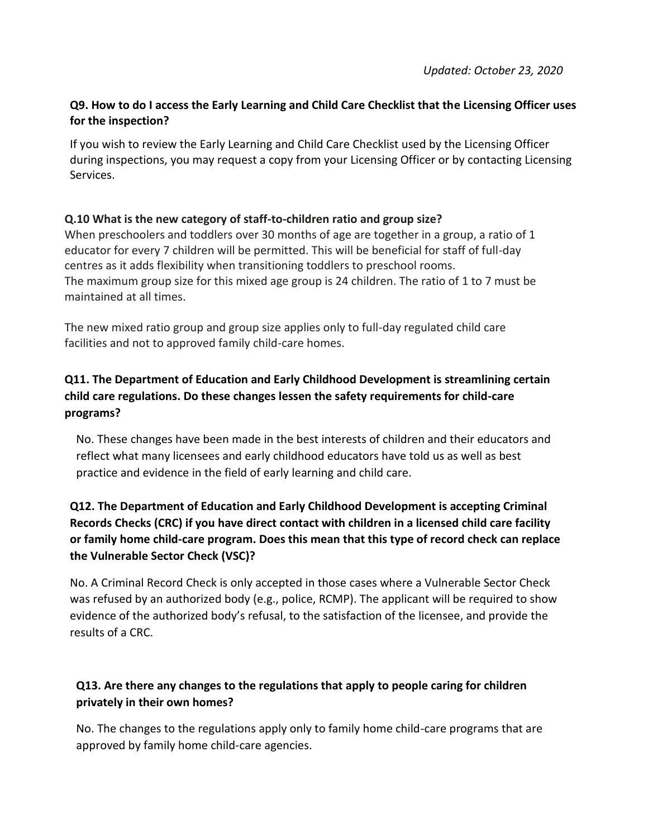#### **Q9. How to do I access the Early Learning and Child Care Checklist that the Licensing Officer uses for the inspection?**

If you wish to review the Early Learning and Child Care Checklist used by the Licensing Officer during inspections, you may request a copy from your Licensing Officer or by contacting Licensing Services.

#### **Q.10 What is the new category of staff-to-children ratio and group size?**

When preschoolers and toddlers over 30 months of age are together in a group, a ratio of 1 educator for every 7 children will be permitted. This will be beneficial for staff of full-day centres as it adds flexibility when transitioning toddlers to preschool rooms. The maximum group size for this mixed age group is 24 children. The ratio of 1 to 7 must be maintained at all times.

The new mixed ratio group and group size applies only to full-day regulated child care facilities and not to approved family child-care homes.

## **Q11. The Department of Education and Early Childhood Development is streamlining certain child care regulations. Do these changes lessen the safety requirements for child-care programs?**

No. These changes have been made in the best interests of children and their educators and reflect what many licensees and early childhood educators have told us as well as best practice and evidence in the field of early learning and child care.

## **Q12. The Department of Education and Early Childhood Development is accepting Criminal Records Checks (CRC) if you have direct contact with children in a licensed child care facility or family home child-care program. Does this mean that this type of record check can replace the Vulnerable Sector Check (VSC)?**

No. A Criminal Record Check is only accepted in those cases where a Vulnerable Sector Check was refused by an authorized body (e.g., police, RCMP). The applicant will be required to show evidence of the authorized body's refusal, to the satisfaction of the licensee, and provide the results of a CRC.

#### **Q13. Are there any changes to the regulations that apply to people caring for children privately in their own homes?**

No. The changes to the regulations apply only to family home child-care programs that are approved by family home child-care agencies.